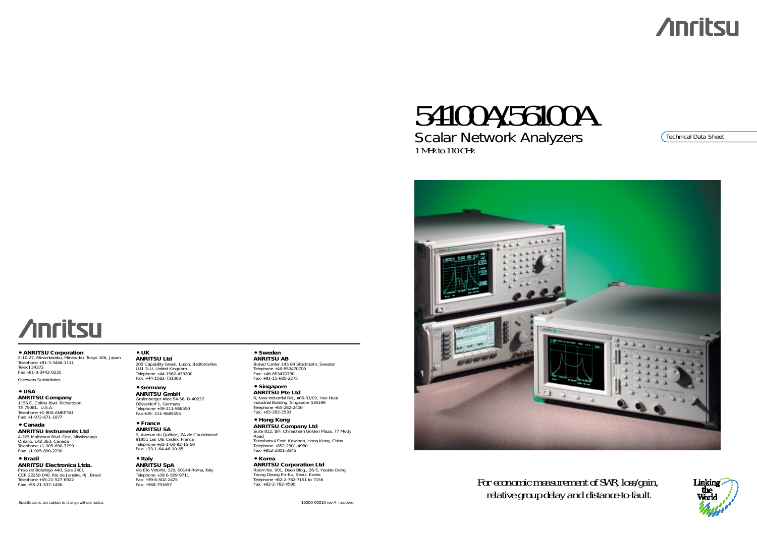*For economic measurement of SWR, loss/gain, relative group delay and distance-to-fault*

# **Anritsu**

## 54100A/56100A Scalar Network Analyzers 1 MHz to 110 GHz



### Technical Data Sheet



**• ANRITSU Corporation**

5-10-27, Minamiazabu, Minato-ku, Tokyo 106, Japan Telephone +81-3-3446-1111 Telex J34372 Fax +81-3-3442-0235

Overseas Subsidiaries

**• USA**

**ANRITSU Company** 1155 E. Collins Blvd. Richardson, TX 75081, U.S.A. Telephone +1-800-ANRITSU Fax: +1-972-671-1877

**• Canada ANRITSU Instruments Ltd** 4-205 Matheson Blvd. East, Mississauga Ontario, L4Z 3E3, Canada Telephone +1-905-890-7799 Fax: +1-905-890-2290

**• Brazil**

**ANRITSU Electronica Ltda.** Praia de Botafogo 440, Sala 2401 CEP 22250-040, Rio de Janeiro, RJ, Brasil Telephone +55-21-527-6922 Fax: +55-21-537-1456

**• UK**

**ANRITSU Ltd** 200 Capability Green, Luton, Bedfordshire LU1 3LU, United Kingdom Telephone +44-1582-433200 Fax: +44-1582-731303

**• Germany ANRITSU GmbH** Grafenberger Allee 54-56, D-40237 Düsseldorf 1, Germany Telephone +49-211-968550 Fax:+49- 211-9685555

**• France ANRITSU SA** 9, Avenue du Québec, ZA de Courtaboeuf 91951 Les Ulis Cedex, France Telephone +33-1-60-92-15-50 Fax: +33-1-64-46-10-65

**• Italy ANRITSU SpA** Via Elio Vittorini, 129, 00144 Roma, Italy Telephone +39-6-509-9711 Fax: +39-6-502-2425 Fax: +968-791697

**• Sweden**

**ANRITSU AB** Botvid Center 145 84 Stockholm, Sweden Telephone +46-853470700 Fax: +46-853470730 Fax: +91-11-685-2275

**• Singapore ANRITSU Pte Ltd** 6, New Industrial Rd., #06-01/02, Hoe Huat Industrial Building, Singapore 536199 Telephone +65-282-2400 Fax: +65-282-2533

**• Hong Kong ANRITSU Company Ltd** Suite 812, 8/F, Chinachem Golden Plaza, 77 Mody Road Tsimshatsui East, Kowloon, Hong Kong, China Telephone +852-2301-4980 Fax: +852-2301-3545

**• Korea ANRITSU Corporation Ltd** Room No. 901, Daeo Bldg., 26-5, Yeoido-Dong, Young Deung Po-Ku, Seoul, Korea Telephone +82-2-782-7151 to 7156 Fax: +82-2-782-4590



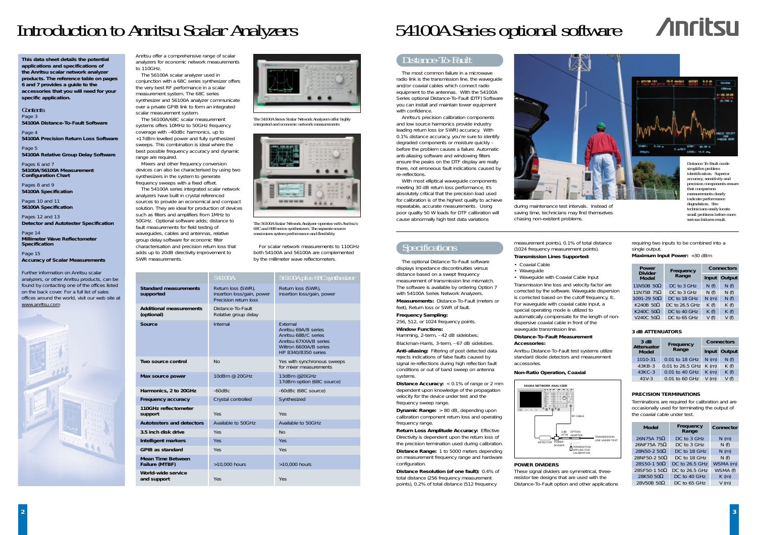## Distance-To-Fault

The most common failure in a microwave radio link is the transmission line, the waveguide and/or coaxial cables which connect radio equipment to the antennas. With the 54100A Series optional Distance-To-Fault (DTF) Software you can install and maintain tower equipment with confidence.

Anritsu's precision calibration components and low source harmonics provide industry leading return loss (or SWR) accuracy. With 0.1% distance accuracy, you're sure to identify degraded components or moisture quickly – before the problem causes a failure. Automatic anti-aliasing software and windowing filters ensure the peaks on the DTF display are really there, not erroneous fault indications caused by re-reflections.

**Window Functions:** Hamming, 2-term, -42 dB sidelobes;

Blackman-Harris, 3-term, -67 dB sidelobes.

With most elliptical waveguide components meeting 30 dB return loss performance, it's absolutely critical that the precision load used for calibration is of the highest quality to achieve repeatable, accurate measurements. Using poor quality 50 W loads for DTF calibration will cause abnormally high test data variations

**Distance Accuracy:** < 0.1% of range or 2 mm dependent upon knowledge of the propagation velocity for the device under test and the frequency sweep range.

The optional Distance-To-Fault software displays impedance discontinuities versus distance based on a swept frequency measurement of transmission line mismatch. The software is available by ordering Option 7 with 54100A Series Network Analyzers.

**Measurements:** Distance-To-Fault (meters or feet), Return loss or SWR of fault.

**Frequency Sampling:** 256, 512, or 1024 frequency points.

**Anti-aliasing:** Filtering of post detected data rejects indications of false faults caused by signal re-reflections during high reflection fault conditions or out of band sweep on antenna systems.

**Dynamic Range:** <sup>&</sup>gt; 80 dB, depending upon calibration component return loss and operating frequency range.

**Return Loss Amplitude Accuracy:** Effective Directivity is dependent upon the return loss of the precision termination used during calibration. **Distance Range:** 1 to 5000 meters depending on measurement frequency range and hardware configuration.

**Distance Resolution (of one fault):** 0.4% of total distance (256 frequency measurement points), 0.2% of total distance (512 frequency

## Introduction to Anritsu Scalar Analyzers 54100A Series optional software



Anritsu offer a comprehensive range of scalar analyzers for economic network measurements to 110GHz.

The 56100A scalar analyzer used in conjunction with a 68C series synthesizer offers the very best RF performance in a scalar measurement system. The 68C series synthesizer and 56100A analyzer communicate over a private GPIB link to form an integrated scalar measurement system.

The 56100A/68C scalar measurement systems offers 10MHz to 50GHz frequency coverage with –40dBc harmonics, up to +17dBm levelled power and fully synthesized sweeps. This combination is ideal where the best possible frequency accuracy and dynamic range are required.

Mixers and other frequency conversion devices can also be characterised by using two synthesizers in the system to generate frequency sweeps with a fixed offset.

## **54100A NETWORK ANALYZER** 3 dB ATTN DETECTOR POWER DIVIDER RAAGB

The 54100A series integrated scalar network analyzers have built in crystal referenced sources to provide an economical and compact solution. They are ideal for production of devices such as filters and amplifiers from 1MHz to 50GHz. Optional software adds; distance to fault measurements for field testing of waveguides, cables and antennas, relative group delay software for economic filter characterisation and precision return loss that adds up to 20dB directivity improvement to SWR measurements.

For scalar network measurements to 110GHz both 54100A and 56100A are complemented by the millimeter wave reflectometers.

Page 3 **54100A Distance-To-Fault Software**

Page 4 **54100A Precision Return Loss Software**

> measurement points), 0.1% of total distance (1024 frequency measurement points). **Transmission Lines Supported:**

Page 5 **54100A Relative Group Delay Software** Pages 6 and 7

- Coaxial Cable
- Waveguide

• Waveguide with Coaxial Cable Input Transmission line loss and velocity factor are corrected by the software. Waveguide dispersion is corrected based on the cutoff frequency, fc. For waveguide with coaxial cable input, a special operating mode is utilized to automatically compensate for the length of nondispersive coaxial cable in front of the waveguide transmission line.

#### **Distance-To-Fault Measurement Accessories:**

Anritsu Distance-To-Fault test systems utilize standard diode detectors and measurement accessories.

### **POWER DIVIDERS**

These signal dividers are symmetrical, threeresistor tee designs that are used with the Distance-To-Fault option and other applications



*technicians easily locate small problems before more serious failures result.*



*The 56100A Scalar Network Analyzer operates with Anritsu's 68C and 69B series synthesizers. The separate source maximizes system performance and flexibility.*



*The 54100A Series Scalar Network Analyzers offer highly integrated and economic network measurements*

during maintenance test intervals. Instead of saving time, technicians may find themselves chasing non-existent problems.

## **Specifications**

| 3 dB<br><b>Attenuator</b> | Frequency        |         | <b>Connectors</b> |
|---------------------------|------------------|---------|-------------------|
| <b>Model</b>              | Range            |         | Input Output      |
| 1010-31                   | 0.01 to 18 GHz   | $N$ (m) | N(f)              |
| 43KB-3                    | 0.01 to 26.5 GHz | $K$ (m) | K(f)              |
| 43KC-3                    | 0.01 to 40 GHz   | K(m)    | K(f)              |
| $41V-3$                   | 0.01 to 60 GHz   | V(m)    | V(f)              |

|                                              | 54100A                                                                    | 56100A plus 68C synthesizer                                                                                                                |
|----------------------------------------------|---------------------------------------------------------------------------|--------------------------------------------------------------------------------------------------------------------------------------------|
| <b>Standard measurements</b><br>supported    | Return loss (SWR),<br>insertion loss/gain, power<br>Precision return loss | Return loss (SWR),<br>insertion loss/gain, power                                                                                           |
| <b>Additional measurements</b><br>(optional) | Distance-To-Fault<br>Relative group delay                                 |                                                                                                                                            |
| Source                                       | Internal                                                                  | <b>Fxternal</b><br>Anritsu 69A/B series<br>Anritsu 68B/C series<br>Anritsu 67XXA/B series<br>Wiltron 6600A/B series<br>HP 8340/8350 series |
| Two source control                           | No                                                                        | Yes with synchronous sweeps<br>for mixer measurements                                                                                      |
| Max source power                             | 10dBm @ 20GHz                                                             | 13dBm @20GHz<br>17dBm option (68C source)                                                                                                  |
| Harmonics, 2 to 20GHz                        | $-60$ d $Bc$                                                              | -60dBc (68C source)                                                                                                                        |
| Frequency accuracy                           | Crystal controlled                                                        | Synthesized                                                                                                                                |
| 110GHz reflectometer<br>support              | <b>Yes</b>                                                                | Yes                                                                                                                                        |
| <b>Autotesters and detectors</b>             | Available to 50GHz                                                        | Available to 50GHz                                                                                                                         |
| 3.5 inch disk drive                          | Yes                                                                       | No                                                                                                                                         |
| <b>Intelligent markers</b>                   | <b>Yes</b>                                                                | Yes                                                                                                                                        |
| <b>GPIB as standard</b>                      | Yes                                                                       | Yes                                                                                                                                        |
| Mean Time Between<br>Failure (MTBF)          | >10,000 hours                                                             | >10,000 hours                                                                                                                              |
| World-wide service<br>and support            | Yes                                                                       | Yes                                                                                                                                        |



| Power<br><b>Divider</b> |                    | <b>Connectors</b> |              |  |  |
|-------------------------|--------------------|-------------------|--------------|--|--|
| <b>Model</b>            | Frequency<br>Range |                   | Input Output |  |  |
| 11N50B 50 $\Omega$      | DC to 3 GHz        | N(f)              | N(f)         |  |  |
| 11N75B 75 $\Omega$      | DC to 3 GHz        | N(f)              | N(f)         |  |  |
| $1091 - 2950 \Omega$    | DC to 18 GHz       | N(m)              | N(f)         |  |  |
| K240B 50 $\Omega$       | DC to 26.5 GHz     | K(f)              | K(f)         |  |  |
| K240C 50 $\Omega$       | DC to 40 GHz       | K(f)              | K(f)         |  |  |
| V240C $50\Omega$        | DC to 65 GHz       | V(f)              | V(f)         |  |  |

| Model                | Frequency<br>Range | Connector |
|----------------------|--------------------|-----------|
| 26N75A 75 $\Omega$   | DC to 3 GHz        | $N$ (m)   |
| 26NF75A 75 $\Omega$  | DC to 3 GHz        | N(f)      |
| 28N50-2 $50\Omega$   | DC to 18 GHz       | N(m)      |
| 28NF50-2 50 $\Omega$ | DC to 18 GHz       | N(f)      |
| 28S50-1 $50\Omega$   | DC to 26.5 GHz     | WSMA (m)  |
| 28SF50-1 50 $\Omega$ | DC to 26.5 GHz     | WSMA (f)  |
| 28K50 50 $\Omega$    | DC to 40 GHz       | K(m)      |
| 28V50B 50Ω           | DC to 65 GHz       | V(m)      |

#### **3 dB ATTENUATORS**

#### **PRECISION TERMINATIONS**

#### **Non-Ratio Operation, Coaxial**

requiring two inputs to be combined into a single output.

**Maximum Input Power:** +30 dBm

Terminations are required for calibration and are occasionally used for terminating the output of the coaxial cable under test.

**This data sheet details the potential applications and specifications of the Anritsu scalar network analyzer products. The reference table on pages 6 and 7 provides a guide to the accessories that you will need for your specific application.**

#### **Contents**

**54100A/56100A Measurement Configuration Chart**

Pages 8 and 9 **54100A Specification**

Pages 10 and 11 **56100A Specification**

Pages 12 and 13 **Detector and Autotester Specification**

Page 14 **Millimeter Wave Reflectometer Specification**

Page 15 **Accuracy of Scalar Measurements**

Further information on Anritsu scalar analyzers, or other Anritsu products, can be found by contacting one of the offices listed on the back cover. For a full list of sales offices around the world, visit our web site at www.anritsu.com

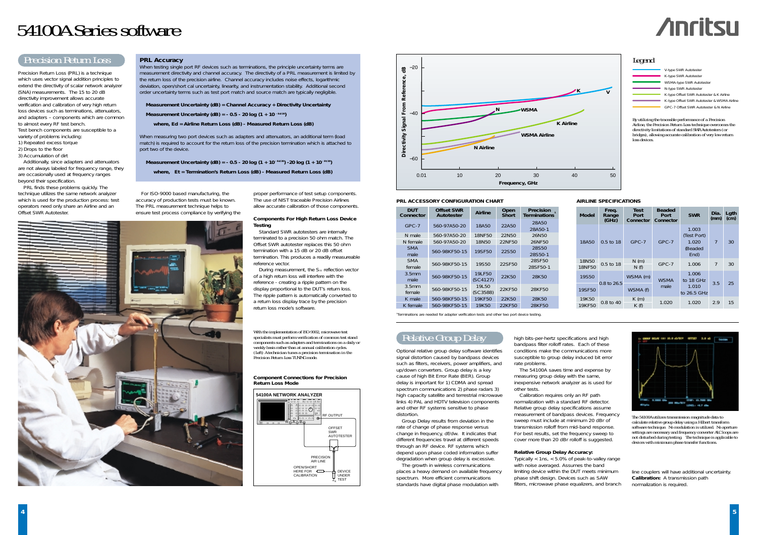## Relative Group Delay

Optional relative group delay software identifies signal distortion caused by bandpass devices such as filters, receivers, power amplifiers, and up/down converters. Group delay is a key cause of high Bit Error Rate (BER). Group delay is important for 1) CDMA and spread spectrum communications 2) phase radars 3) high capacity satellite and terrestrial microwave links 4) PAL and HDTV television components and other RF systems sensitive to phase distortion.

Group Delay results from deviation in the rate of change of phase response versus change in frequency, df/dw. It indicates that different frequencies travel at different speeds through an RF device. RF systems which depend upon phase coded information suffer degradation when group delay is excessive.

The growth in wireless communications places a heavy demand on available frequency spectrum. More efficient communications standards have digital phase modulation with

high bits-per-hertz specifications and high bandpass filter rolloff rates. Each of these conditions make the communications more susceptible to group delay induced bit error rate problems.

The 54100A saves time and expense by measuring group delay with the same, inexpensive network analyzer as is used for other tests.

Calibration requires only an RF path normalization with a standard RF detector. Relative group delay specifications assume measurement of bandpass devices. Frequency sweep must include at minimum 20 dBr of transmission rolloff from mid-band response. For best results, set the frequency sweep to cover more than 20 dBr rolloff is suggested.

#### **Relative Group Delay Accuracy:**

When testing single port RF devices such as terminations, the principle uncertainty terms are measurement directivity and channel accuracy. The directivity of a PRL measurement is limited by the return loss of the precision airline. Channel accuracy includes noise effects, logarithmic deviation, open/short cal uncertainty, linearity, and instrumentation stability. Additional second order uncertainty terms such as test port match and source match are typically negligible.

> Typically < 1ns, < 5.0% of peak-to-valley range with noise averaged. Assumes the band limiting device within the DUT meets minimum phase shift design. Devices such as SAW filters, microwave phase equalizers, and branch

line couplers will have additional uncertainty. **Calibration:** A transmission path normalization is required.

# 54100A Series software

Measurement Uncertainty (dB) =  $-0.5 - 20$  log (1 + 10<sup> $-$ Ed/20</sup>)  $-20$  log (1 + 10 $-$ Et/20) **where, Et = Termination's Return Loss (dB) - Measured Return Loss (dB)**



## Precision Return Loss

Precision Return Loss (PRL) is a technique which uses vector signal addition principles to extend the directivity of scalar network analyzer (SNA) measurements. The 15 to 20 dB directivity improvement allows accurate verification and calibration of very high return loss devices such as terminations, attenuators, and adapters – components which are common to almost every RF test bench. Test bench components are susceptible to a variety of problems including:

- *1) Repeated excess torque*
- *2) Drops to the floor*
- *3) Accumulation of dirt*

Additionally, since adapters and attenuators are not always labeled for frequency range, they are occasionally used at frequency ranges beyond their specification.

PRL finds these problems quickly. The technique utilizes the same network analyzer which is used for the production process: test operators need only share an Airline and an Offset SWR Autotester.

**PRL Accuracy**

#### **Measurement Uncertainty (dB) = Channel Accuracy + Directivity Uncertainty**

**Measurement Uncertainty (dB) = - 0.5 - 20 log (1 + 10 - Ed/20)**

During measurement, the S<sub>11</sub> reflection vector of a high return loss will interfere with the reference - creating a ripple pattern on the display proportional to the DUT's return loss. The ripple pattern is automatically converted to a return loss display trace by the precision return loss mode's software.

**where, Ed = Airline Return Loss (dB) - Measured Return Loss (dB)**

When measuring two port devices such as adapters and attenuators, an additional term (load match) is required to account for the return loss of the precision termination which is attached to port two of the device.

> *With the implementation of ISO-9002, microwave test specialists must perform verification of common test stand components such as adapters and terminations on a daily or weekly basis rather than at annual calibration cycles. (Left) A technician tunes a precision termination in the Precision Return Loss TUNING mode.*



*By utilizing the traceable performance of a Precision Airline, the Precision Return Loss technique overcomes the directivity limitations of standard SWR Autotesters (or bridges), allowing accurate calibration of very low return loss devices.*

| <b>DUT</b><br>Connector     | <b>Offset SWR</b><br>Autotester | Open<br><b>Airline</b><br>Short |        | <b>Precision</b><br><b>Terminations</b> |
|-----------------------------|---------------------------------|---------------------------------|--------|-----------------------------------------|
| $GPC-7$                     | 560-97A50-20                    | 18A50                           | 22A50  | 28A50<br>28A50-1                        |
| N male                      | 560-97A50-20                    | 18NF50                          | 22N50  | 26N50                                   |
| N female                    | 560-97A50-20                    | 18N50                           | 22NF50 | 26NF50                                  |
| <b>SMA</b><br>male          | 560-98KF50-15                   | 19SF50                          | 22S50  | 28S50<br>28S50-1                        |
| <b>SMA</b><br>female        | 560-98KF50-15                   | 19S50                           | 22SF50 | 28SF50<br>28SF50-1                      |
| 3.5 <sub>mm</sub><br>male   | 560-98KF50-15                   | 19LF50<br>(SC4127)              | 22K50  | 28K50                                   |
| 3.5 <sub>mm</sub><br>female | 560-98KF50-15                   | 19150<br>(C3588)                | 22KF50 | 28KF50                                  |
| K male                      | 560-98KF50-15                   | 19KF50                          | 22K50  | 28K50                                   |
| K female                    | 560-98KF50-15                   | 19K50                           | 22KF50 | 28KF50                                  |

1Terminations are needed for adapter verification tests and other two port device testing.

| <b>Model</b>           | Freq.<br>Range<br>(GHz) | <b>Test</b><br>Port<br>Connector | <b>Beaded</b><br>Port<br>Connector | <b>SWR</b>                                       | Dia.<br>(mm) | Lgth<br>(cm) |
|------------------------|-------------------------|----------------------------------|------------------------------------|--------------------------------------------------|--------------|--------------|
| 18A50                  | 0.5 to 18               | $GPC-7$                          | GPC-7                              | 1.003<br>(Test Port)<br>1.020<br>(Beaded<br>End) | 7            | 30           |
| 18N50<br>18NF50        | $0.5 \text{ to } 18$    | N(m)<br>N(f)                     | GPC-7                              | 1.006                                            | 7            | 30           |
| 19S50<br>19SF50        | 0.8 to 26.5             | WSMA (m)<br>WSMA (f)             | <b>WSMA</b><br>male                | 1.006<br>to 18 GHz<br>1.010<br>to 26.5 GHz       | 3.5          | 25           |
| 19K50<br><b>19KF50</b> | 0.8 to 40               | K(m)<br>K(f)                     | 1.020                              | 1.020                                            | 2.9          | 15           |



*The 54100A utilizes transmission magnitude data to calculate relative group delay using a Hilbert transform software technique. No modulation is utilized. No aperture settings are necessary and frequency converter ALC loops are not disturbed during testing. The technique is applicable to devices with minimum phase transfer functions.*



#### **Component Connections for Precision Return Loss Mode**

For ISO-9000 based manufacturing, the accuracy of production tests must be known. The PRL measurement technique helps to ensure test process compliance by verifying the

proper performance of test setup components. The use of NIST traceable Precision Airlines allow accurate calibration of those components.

#### **Components For High Return Loss Device Testing**

Standard SWR autotesters are internally terminated to a precision 50 ohm match. The Offset SWR autotester replaces this 50 ohm termination with a 15 dB or 20 dB offset termination. This produces a readily measureable reference vector.

### Legend



#### **PRL ACCESSORY CONFIGURATION CHART AIRLINE SPECIFICATIONS**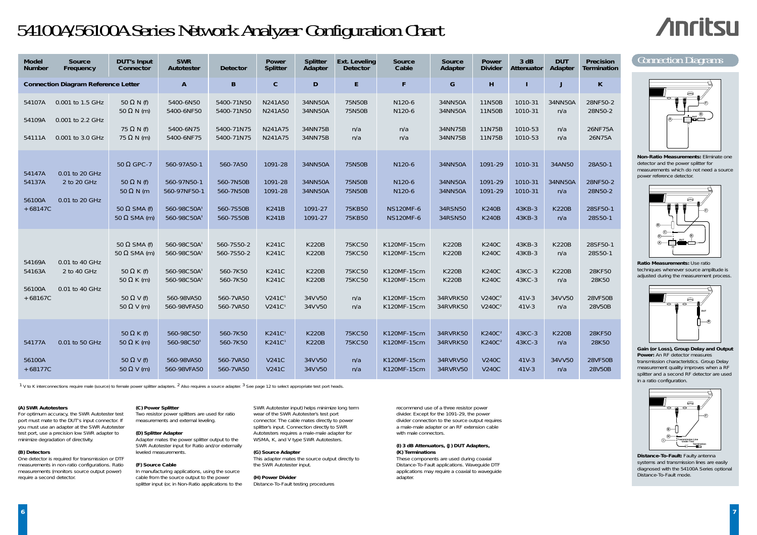recommend use of a three resistor power divider. Except for the 1091-29, the power divider connection to the source output requires a male-male adapter or an RF extension cable with male connectors.

#### **(I) 3 dB Attenuators, (J) DUT Adapters, (K) Terminations**

For optimum accuracy, the SWR Autotester test port must mate to the DUT's input connector. If you must use an adapter at the SWR Autotester test port, use a precision low SWR adapter to minimize degradation of directivity.

> These components are used during coaxial Distance-To-Fault applications. Waveguide DTF applications may require a coaxial to waveguide adapter.

#### **(A) SWR Autotesters**

#### **(B) Detectors**

#### **Gain (or Loss), Group Delay and Output Power:** An RF detector measures

One detector is required for transmission or DTF measurements in non-ratio configurations. Ratio measurements (monitors source output power) require a second detector.

#### **(C) Power Splitter**

Two resistor power splitters are used for ratio measurements and external leveling.

> **Distance-To-Fault: Faulty antenna** systems and transmission lines are easily diagnosed with the 54100A Series optional Distance-To-Fault mode.

#### **(D) Splitter Adapter**

Adapter mates the power splitter output to the SWR Autotester input for Ratio and/or externally leveled measurements.

#### **(F) Source Cable**

In manufacturing applications, using the source cable from the source output to the power splitter input (or, in Non-Ratio applications to the **Non-Ratio Measurements:** Eliminate one detector and the power splitter for measurements which do not need a source power reference detector.

#### **Ratio Measurements:** Use ratio techniques whenever source amplitude is adjusted during the measurement process.

transmission characteristics. Group Delay measurement quality improves when a RF splitter and a second RF detector are used in a ratio configuration.

SWR Autotester input) helps minimize long term wear of the SWR Autotester's test port connector. The cable mates directly to power splitter's input. Connection directly to SWR Autotesters requires a male-male adapter for WSMA, K, and V type SWR Autotesters.

#### **(G) Source Adapter**

This adapter mates the source output directly to the SWR Autotester input.

#### **(H) Power Divider**

Distance-To-Fault testing procedures

# 54100A/56100A Series Network Analyzer Configuration Chart

# **Anritsu**

*1 V to K interconnections require male (source) to female power splitter adapters. 2 Also requires a source adapter. <sup>3</sup> See page 12 to select appropriate test port heads.*









| <b>Model</b><br><b>Number</b>           | Source<br>Frequency                                      | <b>DUT's Input</b><br>Connector                                                                                                | <b>SWR</b><br>Autotester                                                                                                              | <b>Detector</b>                                                            | Power<br><b>Splitter</b>                                                                                 | <b>Splitter</b><br>Adapter                                                         | <b>Ext. Leveling</b><br><b>Detector</b>            | Source<br>Cable                                                                        | Source<br>Adapter                                                                    | Power<br><b>Divider</b>                                                                                  | 3 dB<br>Attenuator                                         | <b>DUT</b><br>Adapter                                       | Precision<br>Termination                                    |
|-----------------------------------------|----------------------------------------------------------|--------------------------------------------------------------------------------------------------------------------------------|---------------------------------------------------------------------------------------------------------------------------------------|----------------------------------------------------------------------------|----------------------------------------------------------------------------------------------------------|------------------------------------------------------------------------------------|----------------------------------------------------|----------------------------------------------------------------------------------------|--------------------------------------------------------------------------------------|----------------------------------------------------------------------------------------------------------|------------------------------------------------------------|-------------------------------------------------------------|-------------------------------------------------------------|
|                                         | <b>Connection Diagram Reference Letter</b>               |                                                                                                                                | $\mathbf{A}$                                                                                                                          | $\, {\bf B}$                                                               | $\mathbf C$                                                                                              | $\mathsf D$                                                                        | E.                                                 | F                                                                                      | G                                                                                    | H                                                                                                        |                                                            | J                                                           | $\mathsf{K}$                                                |
| 54107A<br>54109A<br>54111A              | 0.001 to 1.5 GHz<br>0.001 to 2.2 GHz<br>0.001 to 3.0 GHz | 50 $\Omega$ N (f)<br>50 $\Omega$ N (m)<br>75 $\Omega$ N (f)<br>$75 \Omega N$ (m)                                               | 5400-6N50<br>5400-6NF50<br>5400-6N75<br>5400-6NF75                                                                                    | 5400-71N50<br>5400-71N50<br>5400-71N75<br>5400-71N75                       | N241A50<br>N241A50<br>N241A75<br>N241A75                                                                 | 34NN50A<br>34NN50A<br>34NN75B<br>34NN75B                                           | 75N50B<br>75N50B<br>n/a<br>n/a                     | N120-6<br>N120-6<br>n/a<br>n/a                                                         | 34NN50A<br>34NN50A<br>34NN75B<br>34NN75B                                             | 11N50B<br>11N50B<br>11N75B<br>11N75B                                                                     | 1010-31<br>1010-31<br>1010-53<br>1010-53                   | 34NN50A<br>n/a<br>n/a<br>n/a                                | 28NF50-2<br>28N50-2<br>26NF75A<br>26N75A                    |
| 54147A<br>54137A<br>56100A<br>$+68147C$ | 0.01 to 20 GHz<br>2 to 20 GHz<br>0.01 to 20 GHz          | 50 $\Omega$ GPC-7<br>50 $\Omega$ N (f)<br>$50 \Omega N$ (m<br>50 $\Omega$ SMA (f)<br>50 $\Omega$ SMA (m)                       | 560-97A50-1<br>560-97N50-1<br>560-97NF50-1<br>560-98C50A <sup>3</sup><br>560-98C50A <sup>3</sup>                                      | 560-7A50<br>560-7N50B<br>560-7N50B<br>560-7S50B<br>560-7S50B               | 1091-28<br>1091-28<br>1091-28<br><b>K241B</b><br><b>K241B</b>                                            | 34NN50A<br>34NN50A<br>34NN50A<br>1091-27<br>1091-27                                | 75N50B<br>75N50B<br>75N50B<br>75KB50<br>75KB50     | N120-6<br>N120-6<br>N120-6<br><b>NS120MF-6</b><br><b>NS120MF-6</b>                     | 34NN50A<br>34NN50A<br>34NN50A<br>34RSN50<br>34RSN50                                  | 1091-29<br>1091-29<br>1091-29<br><b>K240B</b><br><b>K240B</b>                                            | 1010-31<br>1010-31<br>1010-31<br>43KB-3<br>43KB-3          | 34AN50<br>34NN50A<br>n/a<br><b>K220B</b><br>n/a             | 28A50-1<br>28NF50-2<br>28N50-2<br>28SF50-1<br>28S50-1       |
| 54169A<br>54163A<br>56100A<br>$+68167C$ | 0.01 to 40 GHz<br>2 to 40 GHz<br>0.01 to 40 GHz          | 50 $\Omega$ SMA (f)<br>50 $\Omega$ SMA (m)<br>50 $\Omega$ K (f)<br>50 $\Omega$ K (m)<br>50 $\Omega$ V (f)<br>50 $\Omega$ V (m) | 560-98C50A <sup>3</sup><br>560-98C50A <sup>3</sup><br>560-98C50A <sup>3</sup><br>560-98C50A <sup>3</sup><br>560-98VA50<br>560-98VFA50 | 560-7S50-2<br>560-7S50-2<br>560-7K50<br>560-7K50<br>560-7VA50<br>560-7VA50 | <b>K241C</b><br><b>K241C</b><br><b>K241C</b><br><b>K241C</b><br>V241C <sup>1</sup><br>V241C <sup>1</sup> | <b>K220B</b><br><b>K220B</b><br><b>K220B</b><br><b>K220B</b><br>34V V50<br>34V V50 | 75KC50<br>75KC50<br>75KC50<br>75KC50<br>n/a<br>n/a | K120MF-15cm<br>K120MF-15cm<br>K120MF-15cm<br>K120MF-15cm<br>K120MF-15cm<br>K120MF-15cm | <b>K220B</b><br><b>K220B</b><br><b>K220B</b><br><b>K220B</b><br>34RVRK50<br>34RVRK50 | <b>K240C</b><br><b>K240C</b><br><b>K240C</b><br><b>K240C</b><br>V240C <sup>2</sup><br>V240C <sup>2</sup> | 43KB-3<br>43KB-3<br>43KC-3<br>43KC-3<br>$41V-3$<br>$41V-3$ | <b>K220B</b><br>n/a<br><b>K220B</b><br>n/a<br>34VV50<br>n/a | 28SF50-1<br>28S50-1<br>28KF50<br>28K50<br>28VF50B<br>28V50B |
| 54177A<br>56100A<br>$+68177C$           | 0.01 to 50 GHz                                           | 50 $\Omega$ K (f)<br>50 $\Omega$ K (m)<br>50 $\Omega$ V (f)<br>50 $\Omega$ V (m)                                               | 560-98C50 <sup>3</sup><br>560-98C50 <sup>3</sup><br>560-98VA50<br>560-98VFA50                                                         | 560-7K50<br>560-7K50<br>560-7VA50<br>560-7VA50                             | K241C <sup>1</sup><br>K241C <sup>1</sup><br><b>V241C</b><br><b>V241C</b>                                 | <b>K220B</b><br><b>K220B</b><br>34V V50<br>34V V50                                 | 75KC50<br>75KC50<br>n/a<br>n/a                     | K120MF-15cm<br>K120MF-15cm<br>K120MF-15cm<br>K120MF-15cm                               | 34RVRK50<br>34RVRK50<br>34RVRV50<br>34RVRV50                                         | K240C <sup>2</sup><br>K240C <sup>2</sup><br><b>V240C</b><br><b>V240C</b>                                 | 43KC-3<br>43KC-3<br>$41V-3$<br>$41V-3$                     | <b>K220B</b><br>n/a<br>34VV50<br>n/a                        | 28KF50<br>28K50<br>28VF50B<br>28V50B                        |

## Connection Diagrams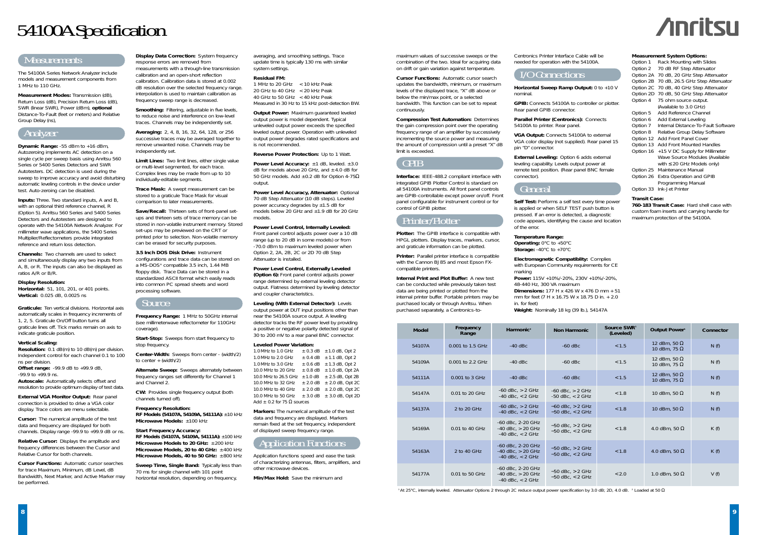maximum values of successive sweeps or the combination of the two. Ideal for acquiring data on drift or gain variation against temperature.

**Cursor Functions:** Automatic cursor search updates the bandwidth, minimum, or maximum levels of the displayed trace, "X" dB above or below the min/max point, or a selected bandwidth. This function can be set to repeat continuously.

**Compression Test Automation:** Determines the gain compression point over the operating frequency range of an amplifier by successively incrementing the source power and measuring the amount of compression until a preset "X" dB limit is exceeded.

## GPIB

**Interface:** IEEE-488.2 compliant interface with integrated GPIB Plotter Control is standard on all 54100A instruments. All front panel controls are GPIB-controllable except power on/off. Front panel configurable for instrument control or for control of GPIB plotter.

## Printer/Plotter

**Plotter:** The GPIB interface is compatible with HPGL plotters. Display traces, markers, cursor, and graticule information can be plotted.

**Printer:** Parallel printer interface is compatible with the Cannon BJ85 and most Epson FXcompatible printers.

**Internal Print and Plot Buffer:** A new test can be conducted while previously taken test data are being printed or plotted from the internal printer buffer. Portable printers may be purchased locally or through Anritsu. When purchased separately, a Centronics-to-

| Centronics Printer Interfac |
|-----------------------------|
| needed for operation with   |

## Measurements

*The 54100A Series Network Analyzer include models and measurement components from 1 MHz to 110 GHz.*

**Measurement Modes:** Transmission (dB), Return Loss (dB), Precision Return Loss (dB), SWR (linear SWR), Power (dBm), **optional** Distance-To-Fault (feet or meters) and Relative Group Delay (ns),

## Analyzer

**Dynamic Range:** -55 dBm to +16 dBm, Autozeroing implements AC detection on a single cycle per sweep basis using Anritsu 560 Series or 5400 Series Detectors and SWR Autotesters. DC detection is used during the sweep to improve accuracy and avoid disturbing automatic leveling controls in the device under test. Auto-zeroing can be disabled.

**Inputs:** Three. Two standard inputs, A and B, with an optional third reference channel, R (Option 5). Anritsu 560 Series and 5400 Series Detectors and Autotesters are designed to operate with the 54100A Network Analyzer. For millimeter wave applications, the 5400 Series Multiplier/Reflectometers provide integrated reference and return loss detection.

**Display Data Correction:** System frequency response errors are removed from

**Channels:** Two channels are used to select and simultaneously display any two inputs from A, B, or R. The inputs can also be displayed as ratios A/R or B/R.

#### **Display Resolution:**

*Horizontal:* 51, 101, 201, or 401 points. *Vertical:* 0.025 dB, 0.0025 ns

**Graticule:** Ten vertical divisions. Horizontal axis automatically scales in frequency increments of 1, 2, 5. Graticule On/Off button turns all graticule lines off. Tick marks remain on axis to indicate graticule position.

#### **Vertical Scaling:**

*Resolution:* 0.1 dB(m) to 10 dB(m) per division. Independent control for each channel 0.1 to 100 ns per division. *Offset range:* -99.9 dB to +99.9 dB,

 $-99.9$  to  $+99.9$  ns.

*Autoscale:* Automatically selects offset and resolution to provide optimum display of test data.

**External VGA Monitor Output:** Rear panel connection is provided to drive a VGA color display. Trace colors are menu selectable.

**Start-Stop:** Sweeps from start frequency to stop frequency.

**Center-Width:** Sweeps from center - (width/2) to center  $+$  (width/2)

**Cursor:** The numerical amplitude of the test data and frequency are displayed for both channels. Display range -99.9 to +99.9 dB or ns.

**Relative Cursor:** Displays the amplitude and frequency differences between the Cursor and Relative Cursor for both channels.

> **Sweep Time, Single Band: Typically less than** 70 ms for single channel with 101 point horizontal resolution, depending on frequency,

**Cursor Functions:** Automatic cursor searches for trace Maximum, Minimum, dB Level, dB Bandwidth, Next Marker, and Active Marker may be performed.

## I/O Connections

**Horizontal Sweep Ramp Output:** 0 to +10 V nominal.

**GPIB:** Connects 54100A to controller or plotter. Rear panel GPIB connector.

**Parallel Printer (Centronics):** Connects 54100A to printer. Rear panel.

**VGA Output:** Connects 54100A to external VGA color display (not supplied). Rear panel 15 pin "D" connector.

**External Leveling:** Option 6 adds external leveling capability. Levels output power at remote test position. (Rear panel BNC female connector).

## General

**Output Power:** Maximum quaranteed leveled output power is model dependent. Typical unleveled output power exceeds the specified leveled output power. Operation with unleveled output power degrades rated specifications and is not recommended.

**Power Level Accuracy:**  $\pm 1$  dB, leveled.  $\pm 3.0$ dB for models above 20 GHz, and  $\pm$  4.0 dB for 50 GHz models. Add  $\pm$ 0.2 dB for Option 4-75 $\Omega$ output.

> **Self Test:** Performs a self test every time power is applied or when SELF TEST push button is pressed. If an error is detected, a diagnostic code appears, identifying the cause and location of the error.

**Temperature Range:** *Operating:* 0°C to +50°C *Storage:* -40°C to +70°C

**Electromagnetic Compatiblity:** Complies with European Community requirements for CE marking

**Power:** 115V +10%/-20%, 230V +10%/-20%, 48-440 Hz, 300 VA maximum **Dimensions:** 177 H x 426 W x 476 D mm + 51 mm for feet (7 H x 16.75 W x 18.75 D in. + 2.0 in. for feet)

**Weight:** Nominally 18 kg (39 lb.), 54147A

measurements with a through-line transmission calibration and an open-short reflection calibration. Calibration data is stored at 0.002 dB resolution over the selected frequency range. interpolation is used to maintain calibration as frequency sweep range is decreased.

**Smoothing:** Filtering, adjustable in five levels, to reduce noise and interference on low-level traces. Channels may be independently set.

**Averaging:** 2, 4, 8, 16, 32, 64, 128, or 256 successive traces may be averaged together to remove unwanted noise. Channels may be independently set.

**Limit Lines:** Two limit lines, either single value or multi-level segmented, for each trace. Complex lines may be made from up to 10 individually-editable segments.

**Trace Mask:** A swept measurement can be stored to a graticule Trace Mask for visual comparison to later measurements.

**Save/Recall:** Thirteen sets of front-panel setups and thirteen sets of trace memory can be stored in non-volatile instrument memory. Stored set-ups may be previewed on the CRT or printed prior to selection. Non-volatile memory can be erased for security purposes.

**3.5 Inch DOS Disk Drive:** Instrument configurations and trace data can be stored on a MS-DOS® compatible 3.5 inch, 1.44 MB floppy disk. Trace Data can be stored in a standardized ASCII format which easily reads into common PC spread sheets and word processing software.

## Source

**Frequency Range:** 1 MHz to 50GHz internal (see millimeterwave reflectometer for 110GHz coverage).

**Alternate Sweep:** Sweeps alternately between frequency ranges set differently for Channel 1 and Channel 2.

**CW:** Provides single frequency output (both channels turned off).

**Frequency Resolution:** *RF Models (54107A, 54109A, 54111A):* ±10 kHz *Microwave Models:* ±100 kHz

**Start Frequency Accuracy:** *RF Models (54107A, 54109A, 54111A):* ±100 kHz *Microwave Models to 20 GHz:* <sup>±</sup> 200 kHz *Microwave Models, 20 to 40 GHz:* <sup>±</sup> 400 kHz *Microwave Models, 40 to 50 GHz:* <sup>±</sup> 800 kHz

| <b>Measurement System Options:</b> |  |  |
|------------------------------------|--|--|
|                                    |  |  |

| Option 1  | Rack Mounting with Slides           |
|-----------|-------------------------------------|
| Option 2  | 70 dB RF Step Attenuator            |
| Option 2A | 70 dB, 20 GHz Step Attenuator       |
| Option 2B | 70 dB, 26.5 GHz Step Attenuator     |
| Option 2C | 70 dB, 40 GHz Step Attenuator       |
| Option 2D | 70 dB, 50 GHz Step Attenuator       |
| Option 4  | 75 ohm source output.               |
|           | (Available to 3.0 GHz)              |
| Option 5  | Add Reference Channel               |
| Option 6  | Add External Leveling               |
| Option 7  | Internal Distance-To-Fault Software |
| Option 8  | Relative Group Delay Software       |
| Option 12 | <b>Add Front Panel Cover</b>        |
| Option 13 | <b>Add Front Mounted Handles</b>    |
| Option 16 | +15 V DC Supply for Millimeter      |
|           | Wave Source Modules (Available      |
|           | with $\leq$ 20 GHz Models only)     |
| Option 25 | Maintenance Manual                  |
| Option 26 | Extra Operation and GPIB            |
|           | Programming Manual                  |
| Option 33 | Ink-Jet Printer                     |

#### **Transit Case:**

**760-183 Transit Case:** Hard shell case with custom foam inserts and carrying handle for maximum protection of the 54100A.

averaging, and smoothing settings. Trace update time is typically 130 ms with similar system settings.

#### **Residual FM:**

1 MHz to 20 GHz < 10 kHz Peak 20 GHz to 40 GHz < 20 kHz Peak 40 GHz to 50 GHz < 40 kHz Peak Measured in 30 Hz to 15 kHz post-detection BW.

**Reverse Power Protection:** Up to 1 Watt.

**Power Level Accuracy, Attenuator:** Optional 70 dB Step Attenuator (10 dB steps). Leveled power accuracy degrades by  $\pm 1.5$  dB for models below 20 GHz and ±1.9 dB for 20 GHz models.

### **Power Level Control, Internally Leveled:**

Front panel control adjusts power over a 10 dB range (up to 20 dB in some models) or from -70.0 dBm to maximum leveled power when Option 2, 2A, 2B, 2C or 2D 70 dB Step Attenuator is installed.

**Power Level Control, Externally Leveled (Option 6):** Front panel control adjusts power range determined by external leveling detector output. Flatness determined by leveling detector and coupler characteristics.

**Leveling (With External Detector):** Levels output power at DUT input positions other than near the 54100A source output. A leveling detector tracks the RF power level by providing a positive or negative polarity detected signal of 30 to 200 mV to a rear panel BNC connector.

#### **Leveled Power Variation:**

1.0 MHz to 1.0 GHz  $\pm$  0.3 dB  $\pm$  1.0 dB, Opt 2 1.0 MHz to 2.0 GHz  $\pm$  0.4 dB  $\pm$  1.1 dB, Opt 2 1.0 MHz to 3.0 GHz  $\pm$  0.6 dB  $\pm$  1.3 dB, Opt 2 10.0 MHz to 20 GHz  $\pm$  0.8 dB  $\pm$  1.0 dB, Opt 2A 10.0 MHz to 26.5 GHz  $\pm$  1.0 dB  $\pm$  2.5 dB, Opt 2B 10.0 MHz to 32 GHz  $\pm$  2.0 dB  $\pm$  2.0 dB, Opt 2C 10.0 MHz to 40 GHz  $\pm 2.0$  dB  $\pm 2.0$  dB, Opt 2C 10.0 MHz to 50 GHz  $\pm$  3.0 dB  $\pm$  3.0 dB, Opt 2D Add  $\pm$  0.2 for 75  $\Omega$  sources

**Markers:** The numerical amplitude of the test data and frequency are displayed. Markers remain fixed at the set frequency, independent of displayed sweep frequency range.

## **Application Functions**

*Application functions speed and ease the task of characterizing antennas, filters, amplifiers, and other microwave devices.*

**Min/Max Hold:** Save the minimum and

# 54100A Specification



ce Cable will be the 54100A



| <b>Model</b> | Frequency<br>Range | Harmonic <sup>2</sup>                                              | <b>Non Harmonic</b>                          | Source SWR <sup>1</sup><br>(Leveled) | Output Power <sup>1</sup>                  | Connector |
|--------------|--------------------|--------------------------------------------------------------------|----------------------------------------------|--------------------------------------|--------------------------------------------|-----------|
| 54107A       | 0.001 to 1.5 GHz   | $-40$ dBc                                                          | $-60$ dBc                                    | < 1.5                                | 12 dBm, 50 $\Omega$<br>10 dBm, 75 $\Omega$ | N(f)      |
| 54109A       | 0.001 to 2.2 GHz   | $-40$ dBc                                                          | $-60$ dBc                                    | < 1.5                                | 12 dBm, 50 $\Omega$<br>10 dBm, 75 $\Omega$ | N(f)      |
| 54111A       | 0.001 to 3 GHz     | $-40$ dBc                                                          | $-60$ dBc                                    | < 1.5                                | 12 dBm, 50 $\Omega$<br>10 dBm, 75 $\Omega$ | N(f)      |
| 54147A       | 0.01 to 20 GHz     | $-60$ dBc, $> 2$ GHz<br>$-40$ dBc, $<$ 2 GHz                       | $-60$ dBc, $> 2$ GHz<br>$-50$ dBc. $<$ 2 GHz | < 1.8                                | 10 dBm, 50 $\Omega$                        | N(f)      |
| 54137A       | 2 to 20 GHz        | $-60$ dBc, $> 2$ GHz<br>$-40$ dBc, $<$ 2 GHz                       | $-60$ dBc, $> 2$ GHz<br>$-50$ dBc, $<$ 2 GHz | < 1.8                                | 10 dBm, 50 $\Omega$                        | N(f)      |
| 54169A       | $0.01$ to 40 GHz   | -60 dBc, 2-20 GHz<br>$-40$ dBc, $> 20$ GHz<br>$-40$ dBc, $<$ 2 GHz | $-50$ dBc, $> 2$ GHz<br>$-50$ dBc, $<$ 2 GHz | < 1.8                                | 4.0 dBm, 50 $\Omega$                       | K(f)      |
| 54163A       | 2 to 40 GHz        | -60 dBc, 2-20 GHz<br>$-40$ dBc, $> 20$ GHz<br>$-40$ dBc. $<$ 2 GHz | $-50$ dBc, $> 2$ GHz<br>$-50$ dBc, $<$ 2 GHz | < 1.8                                | 4.0 dBm, 50 $\Omega$                       | K(f)      |
| 54177A       | $0.01$ to 50 GHz   | -60 dBc, 2-20 GHz<br>$-40$ dBc, $> 20$ GHz<br>$-40$ dBc, $<$ 2 GHz | $-50$ dBc, $> 2$ GHz<br>$-50$ dBc, $<$ 2 GHz | < 2.0                                | 1.0 dBm, 50 $\Omega$                       | V(f)      |

*1 At 25°C, internally leveled. Attenuator Options 2 through 2C reduce output power specification by 3.0 dB; 2D, 4.0 dB. 2 Loaded at 50*  Ω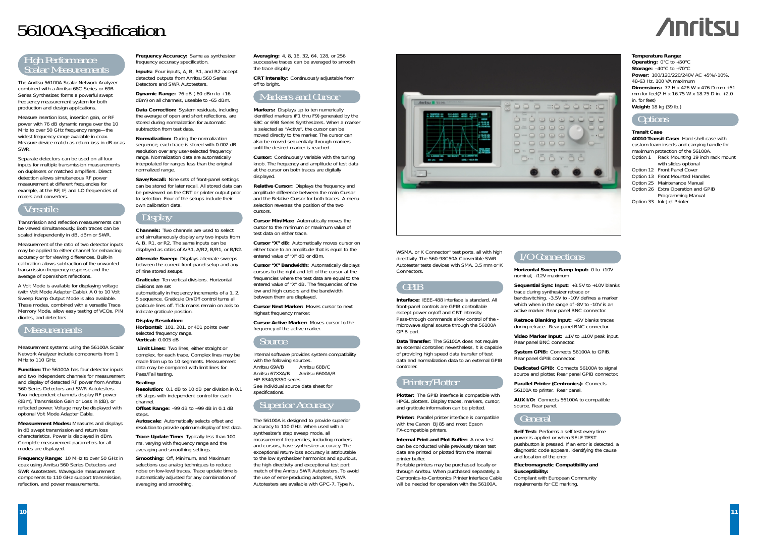WSMA, or K Connector® test ports, all with high directivity. The 560-98C50A Convertible SWR Autotester tests devices with SMA, 3.5 mm or K Connectors.

## GPIB

**Interface:** IFFF-488 interface is standard. All front-panel controls are GPIB controllable except power on/off and CRT intensity. Pass-through commands allow control of the microwave signal source through the 56100A GPIB port.

**Data Transfer:** The 56100A does not require an external controller; nevertheless, it is capable of providing high speed data transfer of test data and normalization data to an external GPIB controller.

## Printer/Plotter

**Plotter:** The GPIB interface is compatible with HPGL plotters. Display traces, markers, cursor, and graticule information can be plotted.

**Printer:** Parallel printer interface is compatible with the Canon BJ85 and most Epson FX-compatible printers.

**Video Marker Input:** ±1V to ±10V peak input. Rear panel BNC connector.

**Internal Print and Plot Buffer:** A new test can be conducted while previously taken test data are printed or plotted from the internal printer buffer.

Portable printers may be purchased locally or through Anritsu. When purchased separately, a Centronics-to-Centronics Printer Interface Cable will be needed for operation with the 56100A.

## I/O Connections

**Horizontal Sweep Ramp Input:** 0 to +10V nominal, +12V maximum

**Dynamic Range:** 76 dB (-60 dBm to +16 dBm) on all channels, useable to -65 dBm.

> **Sequential Sync Input:** +3.5V to +10V blanks trace during synthesizer retrace or bandswitching. -3.5V to -10V defines a marker which when in the range of -8V to -10V is an active marker. Rear panel BNC connector.

**Retrace Blanking Input:** +5V blanks traces during retrace. Rear panel BNC connector.

**System GPIB:** Connects 56100A to GPIB. Rear panel GPIB connector.

**Dedicated GPIB:** Connects 56100A to signal source and plotter. Rear panel GPIB connector.

**Parallel Printer (Centronics):** Connects 56100A to printer. Rear panel.

**AUX I/O:** Connects 56100A to compatible source. Rear panel.

## General

## **Self Test:** Performs a self test every time

power is applied or when SELF TEST pushbutton is pressed. If an error is detected, a diagnostic code appears, identifying the cause and location of the error.

*Offset Range:* -99 dB to +99 dB in 0.1 dB steps.

> **Electromagnetic Compatibility and Susceptibility:**

Compliant with European Community requirements for CE marking.

**Frequency Accuracy:** Same as synthesizer frequency accuracy specification.

> **CRT Intensity:** Continuously adjustable from off to bright

**Inputs:** Four inputs, A, B, R1, and R2 accept detected outputs from Anritsu 560 Series Detectors and SWR Autotesters.

**Data Correction:** System residuals, including the average of open and short reflections, are stored during normalization for automatic subtraction from test data.

> **Relative Cursor:** Displays the frequency and amplitude difference between the main Cursor and the Relative Cursor for both traces. A menu selection reverses the position of the two cursors.

**Normalization:** During the normalization sequence, each trace is stored with 0.002 dB resolution over any user-selected frequency range. Normalization data are automatically interpolated for ranges less than the original normalized range.

**Save/Recall:** Nine sets of front-panel settings can be stored for later recall. All stored data can be previewed on the CRT or printer output prior to selection. Four of the setups include their own calibration data.

## Display

**Channels:** Two channels are used to select and simultaneously display any two inputs from A, B, R1, or R2. The same inputs can be displayed as ratios of A/R1, A/R2, B/R1, or B/R2.

**Alternate Sweep:** Displays alternate sweeps between the current front-panel setup and any of nine stored setups.

**Graticule:** Ten vertical divisions. Horizontal divisions are set

automatically in frequency increments of a 1, 2, 5 sequence. Graticule On/Off control turns all graticule lines off. Tick marks remain on axis to indicate graticule position.

#### **Display Resolution:**

*Horizontal:* 101, 201, or 401 points over selected frequency range. *Vertical:* 0.005 dB

**Limit Lines:** Two lines, either straight or complex, for each trace. Complex lines may be made from up to 10 segments. Measurement data may be compared with limit lines for Pass/Fail testing.

#### **Scaling:**

*Resolution:* 0.1 dB to 10 dB per division in 0.1 dB steps with independent control for each channel.

*Autoscale:* Automatically selects offset and resolution to provide optimum display of test data.

**Trace Update Time:** Typically less than 100 ms, varying with frequency range and the averaging and smoothing settings.

**Smoothing:** Off, Minimum, and Maximum selections use analog techniques to reduce noise on low-level traces. Trace update time is automatically adjusted for any combination of averaging and smoothing.

**Averaging:** 4, 8, 16, 32, 64, 128, or 256 successive traces can be averaged to smooth the trace display.

**Operating:**  $0^{\circ}$ C to +50<sup>°</sup>C **Storage:** -40°C to +70°C **Power:** 100/120/220/240V AC +5%/-10%, 48-63 Hz, 100 VA maximum **Dimensions:** 77 H x 426 W x 476 D mm +51 mm for feet(7 H x 16.75 W x 18.75 D in. +2.0 in. for feet) **Weight:** 18 kg (39 Ib.)

**40010 Transit Case:** Hard shell case with custom foam inserts and carrying handle for maximum protection of the 56100A. Option 1 Rack Mounting 19 inch rack mount

## Markers and Cursor

**Markers:** Displays up to ten numerically identified markers (F1 thru F9) generated by the 68C or 69B Series Synthesizers. When a marker is selected as "Active", the cursor can be moved directly to the marker. The cursor can also be moved sequentially through markers until the desired marker is reached.

**Cursor:** Continuously variable with the tuning knob. The frequency and amplitude of test data at the cursor on both traces are digitally displayed.

**Cursor Min/Max:** Automatically moves the cursor to the minimum or maximum value of test data on either trace.

**Cursor "X" dB:** Automatically moves cursor on either trace to an amplitude that is equal to the entered value of "X" dB or dBm.

**Cursor "X" Bandwidth:** Automatically displays cursors to the right and left of the cursor at the frequencies where the test data are equal to the entered value of "X" dB. The frequencies of the low and high cursors and the bandwidth between them are displayed.

**Cursor Next Marker:** Moves cursor to next highest frequency marker.

**Cursor Active Marker:** Moves cursor to the frequency of the active marker.

## Source

Internal software provides system compatibility with the following sources. Anritsu 69A/B Anritsu 68B/C Anritsu 67XXA/B Anritsu 6600A/B HP 8340/8350 series See individual source data sheet for specifications.

## Superior Accuracy

The 56100A is designed to provide superior accuracy to 110 GHz. When used with a synthesizer's step sweep mode, all measurement frequencies, including markers and cursors, have synthesizer accuracy. The exceptional return-loss accuracy is attributable to the low synthesizer harmonics and spurious, the high directivity and exceptional test port match of the Anritsu SWR Autotesters. To avoid the use of error-producing adapters, SWR Autotesters are available with GPC-7, Type N,



# 56100A Specification

## ligh Performance<br>calar Measurements



The Anritsu 56100A Scalar Network Analyzer combined with a Anritsu 68C Series or 69B Series Synthesizer, forms a powerful swept frequency measurement system for both production and design applications.

Measure insertion loss, insertion gain, or RF power with 76 dB dynamic range over the 10 MHz to over 50 GHz frequency range —the widest frequency range available in coax. Measure device match as return loss in dB or as SWR.

Separate detectors can be used on all four inputs for multiple transmission measurements on duplexers or matched amplifiers. Direct detection allows simultaneous RF power measurement at different frequencies for example, at the RF, IF, and LO frequencies of mixers and converters.

## Versatile

Transmission and reflection measurements can be viewed simultaneously. Both traces can be scaled independently in dB, dBm or SWR.

Measurement of the ratio of two detector inputs may be applied to either channel for enhancing accuracy or for viewing differences. Built-in calibration allows subtraction of the unwanted transmission frequency response and the average of open/short reflections.

A Volt Mode is available for displaying voltage (with Volt Mode Adapter Cable). A 0 to 10 Volt Sweep Ramp Output Mode is also available. These modes, combined with a versatile Trace Memory Mode, allow easy testing of VCOs, PIN diodes, and detectors.

## **Measurements**

*Measurement systems using the 56100A Scalar Network Analyzer include components from 1 MHz to 110 GHz.*

**Function:** The 56100A has four detector inputs and two independent channels for measurement and display of detected RF power from Anritsu 560 Series Detectors and SWR Autotesters. Two independent channels display RF power (dBm), Transmission Gain or Loss in (dB), or reflected power. Voltage may be displayed with optional Volt Mode Adapter Cable.

**Measurement Modes:** Measures and displays in dB swept transmission and return loss characteristics. Power is displayed in dBm. Complete measurement parameters for all modes are displayed.

**Frequency Range:** 10 MHz to over 50 GHz in coax using Anritsu 560 Series Detectors and SWR Autotesters. Waveguide measurement components to 110 GHz support transmission, reflection, and power measurements.

#### **Temperature Range:**

### Options

#### **Transit Case**

| with slides optional               |
|------------------------------------|
| Option 12 Front Panel Cover        |
| Option 13 Front Mounted Handles    |
| Option 25 Maintenance Manual       |
| Option 26 Extra Operation and GPIB |
| Programming Manual                 |
| Option 33 Ink-Jet Printer          |
|                                    |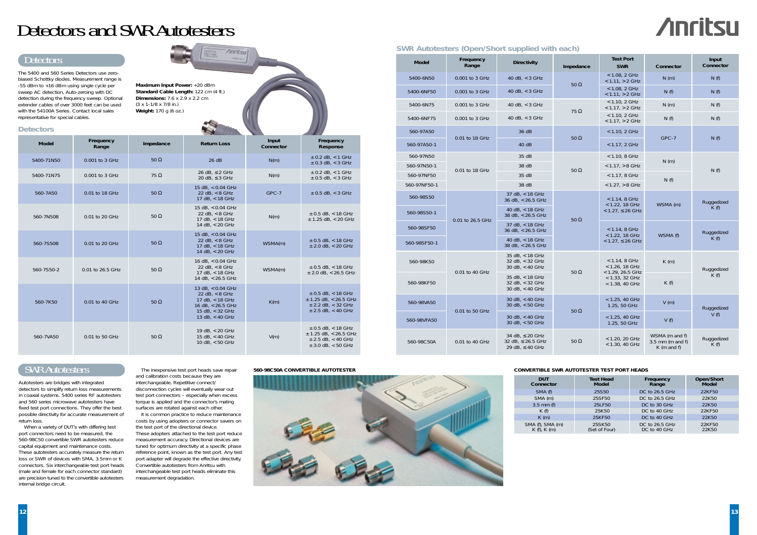## Detectors and SWR Autotesters

### **Detectors**

## SWR Autotesters

It is common practice to reduce maintenance costs by using adopters or connector savers on the test port of the directional device. These adopters attached to the test port reduce measurement accuracy. Directional devices are tuned for optimum directivity at a specific phase reference point, known as the test port. Any test port adapter will degrade the effective directivity. Convertible autotesters from Anritsu with interchangeable test port heads eliminate this measurement degradation.

Autotesters are bridges with integrated detectors to simplify return loss measurements in coaxial systems. 5400 series RF autotesters and 560 series microwave autotesters have fixed test port connections. They offer the best possible directivity for accurate measurement of return loss.

When a variety of DUT's with differing test port connectors need to be measured, the 560-98C50 convertible SWR autotesters reduce capital equipment and maintenance costs. These autotesters accurately measure the return loss or SWR of devices with SMA, 3.5mm or K connectors. Six interchangeable test port heads (male and female for each connector standard) are precision tuned to the convertible autotesters internal bridge circuit.

## Detectors

| <b>Model</b> | Frequency<br>Range | <b>Directivity</b>                                                     | Impedance   | <b>Test Port</b><br><b>SWR</b>                                                                   | Connector                                             | Input<br>Connector                       |
|--------------|--------------------|------------------------------------------------------------------------|-------------|--------------------------------------------------------------------------------------------------|-------------------------------------------------------|------------------------------------------|
| 5400-6N50    | 0.001 to 3 GHz     | 40 dB, < 3 GHz                                                         |             | $< 1.08$ , 2 GHz<br>$< 1.11$ , $> 2$ GHz                                                         | N(m)                                                  | N(f)                                     |
| 5400-6NF50   | 0.001 to 3 GHz     | 40 dB, $<$ 3 GHz                                                       | $50 \Omega$ | < 1.08, 2 GHz<br>$< 1.11$ , $> 2$ GHz                                                            | N(f)                                                  | N(f)                                     |
| 5400-6N75    | 0.001 to 3 GHz     | 40 dB, $<$ 3 GHz                                                       | 75 $\Omega$ | < 1.10, 2 GHz<br>$< 1.17$ , $> 2$ GHz                                                            | N(m)                                                  | N(f)                                     |
| 5400-6NF75   | 0.001 to 3 GHz     | 40 dB, $<$ 3 GHz                                                       |             | < 1.10, 2 GHz<br>$< 1.17, > 2$ GHz                                                               | N(f)                                                  | N(f)                                     |
| 560-97A50    | 0.01 to 18 GHz     | 36 dB                                                                  | $50 \Omega$ | < 1.10, 2 GHz                                                                                    | GPC-7                                                 | N(f)                                     |
| 560-97A50-1  |                    | 40dB                                                                   |             | < 1.17, 2 GHz                                                                                    |                                                       |                                          |
| 560-97N50    |                    | 35 dB                                                                  |             | $< 1.10, 8$ GHz                                                                                  | N(m)                                                  |                                          |
| 560-97N50-1  | 0.01 to 18 GHz     | 38 dB                                                                  | $50 \Omega$ | $< 1.17$ , $> 8$ GHz                                                                             |                                                       | N(f)                                     |
| 560-97NF50   |                    | 35 dB                                                                  |             | $< 1.17, 8$ GHz                                                                                  | N(f)                                                  |                                          |
| 560-97NF50-1 |                    | 38 dB                                                                  |             | $< 1.27$ , $> 8$ GHz                                                                             |                                                       |                                          |
| 560-98S50    |                    | 37 dB, < 18 GHz<br>36 dB, < 26.5 GHz                                   |             | $< 1.14, 8$ GHz<br>$<$ 1.22, 18 GHz                                                              | WSMA (m)<br>WSMA (f)                                  | Ruggedized<br>K(f)<br>Ruggedized<br>K(f) |
| 560-98S50-1  | 0.01 to 26.5 GHz   | 40 dB, $<$ 18 GHz<br>38 dB, < 26.5 GHz                                 | $50 \Omega$ | $< 1.27$ , $\leq 26$ GHz                                                                         |                                                       |                                          |
| 560-98SF50   |                    | 37 dB, < 18 GHz<br>36 dB, < 26.5 GHz                                   |             | < 1.14, 8 GHz<br>$<$ 1.22, 18 GHz<br>$< 1.27$ , $\leq 26$ GHz                                    |                                                       |                                          |
| 560-98SF50-1 |                    | 40 dB, < 18 GHz<br>38 dB, < 26.5 GHz                                   |             |                                                                                                  |                                                       |                                          |
| 560-98K50    | 0.01 to 40 GHz     | $35 dB$ , < 18 GHz<br>32 dB, < 32 GHz<br>30 dB, < 40 GHz               | $50 \Omega$ | < 1.14, 8 GHz<br>$< 1.26$ , 18 GHz<br>$<$ 1.29, 26.5 GHz<br>$<$ 1.33, 32 GHz<br>$<$ 1.38, 40 GHz | K(m)                                                  | Ruggedized<br>K(f)                       |
| 560-98KF50   |                    | 35 dB, < 18 GHz<br>32 dB, < 32 GHz<br>$30$ dB, $< 40$ GHz              |             |                                                                                                  | K(f)                                                  |                                          |
| 560-98VA50   | 0.01 to 50 GHz     | 30 dB, < 40 GHz<br>30 dB, < 50 GHz                                     | $50 \Omega$ | $< 1.25, 40$ GHz<br>1.25, 50 GHz                                                                 | V(m)                                                  | Ruggedized                               |
| 560-98VFA50  |                    | $30$ dB, $< 40$ GHz<br>$30$ dB, $<$ 50 GHz                             |             | < 1.25, 40 GHz<br>1.25, 50 GHz                                                                   | V(f)                                                  | V(f)                                     |
| 560-98C50A   | 0.01 to 40 GHz     | 34 dB, $\leq$ 20 GHz<br>32 dB, $\leq$ 26.5 GHz<br>29 dB, $\leq$ 40 GHz | $50 \Omega$ | < 1.20, 20 GHz<br>$<$ 1.30, 40 GHz                                                               | WSMA (m and f)<br>$3.5$ mm (m and f)<br>$K$ (m and f) | Ruggedized<br>K(f)                       |

The 5400 and 560 Series Detectors use zerobiased Schottky diodes. Measurement range is -55 dBm to +16 dBm using single cycle per sweep AC detection, Auto-zeroing with DC detection during the frequency sweep. Optional extender cables of over 3000 feet can be used with the 54100A Series. Contact local sales representative for special cables.



The inexpensive test port heads save repair and calibration costs because they are interchangeable. Repetitive connect/ disconnection cycles will eventually wear out test port connectors – especially when excess torque is applied and the connector's mating surfaces are rotated against each other.

| <b>Detectors</b> |                    |             |                                                                                                                         |                    |                                                                                                       |
|------------------|--------------------|-------------|-------------------------------------------------------------------------------------------------------------------------|--------------------|-------------------------------------------------------------------------------------------------------|
| <b>Model</b>     | Frequency<br>Range | Impedance   | <b>Return Loss</b>                                                                                                      | Input<br>Connector | Frequency<br>Response                                                                                 |
| 5400-71N50       | 0.001 to 3 GHz     | $50 \Omega$ | 26 dB                                                                                                                   | N(m)               | $\pm$ 0.2 dB, < 1 GHz<br>$\pm$ 0.3 dB, < 3 GHz                                                        |
| 5400-71N75       | 0.001 to 3 GHz     | $75 \Omega$ | 26 dB, $\leq$ 2 GHz<br>20 dB, $\leq$ 3 GHz                                                                              | N(m)               | $± 0.2$ dB, $<$ 1 GHz<br>$± 0.5$ dB, < 3 GHz                                                          |
| 560-7A50         | 0.01 to 18 GHz     | $50 \Omega$ | 15 dB, < 0.04 GHz<br>22 dB, $< 8$ GHz<br>17 dB, < 18 GHz                                                                | GPC-7              | $\pm$ 0.5 dB, < 3 GHz                                                                                 |
| 560-7N50B        | 0.01 to 20 GHz     | $50 \Omega$ | 15 dB, < 0.04 GHz<br>22 dB, $< 8$ GHz<br>17 dB, < 18 GHz<br>14 dB, < 20 GHz                                             | N(m)               | $± 0.5$ dB, < 18 GHz<br>$±$ 1.25 dB, < 20 GHz                                                         |
| 560-7S50B        | 0.01 to 20 GHz     | $50 \Omega$ | 15 dB, < 0.04 GHz<br>22 dB, $< 8$ GHz<br>17 dB, < 18 GHz<br>14 dB, < 20 GHz                                             | WSMA(m)            | $±$ 0.5 dB, < 18 GHz<br>$±$ 2.0 dB, < 20 GHz                                                          |
| 560-7S50-2       | 0.01 to 26.5 GHz   | $50 \Omega$ | 16 dB, < 0.04 GHz<br>22 dB, $< 8$ GHz<br>17 dB, < 18 GHz<br>14 dB, $<$ 26.5 GHz                                         | WSMA(m)            | $\pm$ 0.5 dB, < 18 GHz<br>$\pm$ 2.0 dB, < 26.5 GHz                                                    |
| 560-7K50         | 0.01 to 40 GHz     | $50 \Omega$ | 13 dB, < 0.04 GHz<br>22 dB, $< 8$ GHz<br>17 dB, $<$ 18 GHz<br>16 dB, < 26.5 GHz<br>15 dB, < 32 GHz<br>13 dB, $<$ 40 GHz | K(m)               | $±$ 0.5 dB, < 18 GHz<br>$±$ 1.25 dB, < 26.5 GHz<br>$\pm$ 2.2 dB, < 32 GHz<br>$\pm$ 2.5 dB, < 40 GHz   |
| 560-7VA50        | 0.01 to 50 GHz     | $50 \Omega$ | 19 dB, < 20 GHz<br>15 dB, < 40 GHz<br>10 dB, $<$ 50 GHz                                                                 | V(m)               | $±$ 0.5 dB, < 18 GHz<br>$\pm$ 1.25 dB, < 26.5 GHz<br>$\pm$ 2.5 dB, < 40 GHz<br>$\pm$ 3.0 dB, < 50 GHz |

**Maximum Input Power:** +20 dBm

 $Anritsu$ 

**Standard Cable Length:** 122 cm (4 ft.) **Dimensions:** 7.6 x 2.9 x 2.2 cm (3 x 1-1/8 x 7/8 in.) **Weight:** 170 g (6 oz.)

### **SWR Autotesters (Open/Short supplied with each)**

#### **560-98C50A CONVERTIBLE AUTOTESTER**



| <b>DUT</b><br>Connector             | <b>Test Head</b><br><b>Model</b> | Frequency<br>Range             | Open/Short<br><b>Model</b> |
|-------------------------------------|----------------------------------|--------------------------------|----------------------------|
| SMA (f)                             | 25S50                            | DC to 26.5 GHz                 | 22KF50                     |
| SMA (m)                             | 25SF50                           | DC to 26.5 GHz                 | 22K50                      |
| $3.5$ mm (f)                        | 25LF50                           | DC to 30 GHz                   | 22K50                      |
| K(f)                                | 25K50                            | DC to 40 GHz                   | 22KF50                     |
| $K$ (m)                             | 25KF50                           | DC to 40 GHz                   | 22K50                      |
| SMA (f), SMA (m)<br>$K(f)$ , $K(m)$ | 25SK50<br>(Set of Four)          | DC to 26.5 GHz<br>DC to 40 GHz | 22KF50<br>22K50            |

### **CONVERTIBLE SWR AUTOTESTER TEST PORT HEADS**